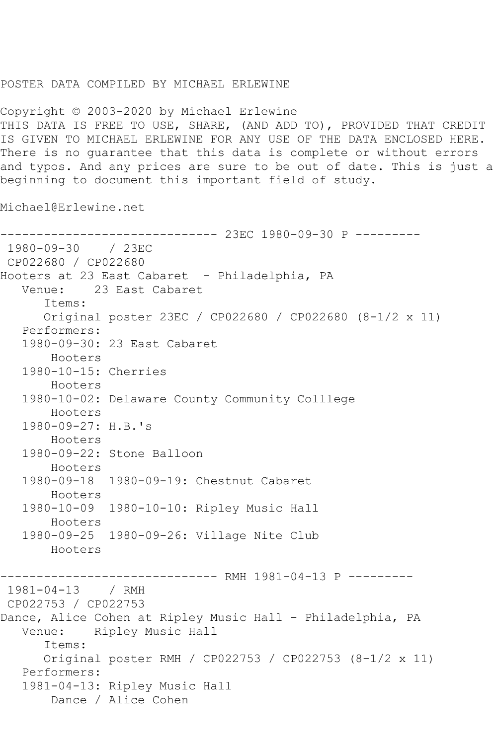## POSTER DATA COMPILED BY MICHAEL ERLEWINE

Copyright © 2003-2020 by Michael Erlewine THIS DATA IS FREE TO USE, SHARE, (AND ADD TO), PROVIDED THAT CREDIT IS GIVEN TO MICHAEL ERLEWINE FOR ANY USE OF THE DATA ENCLOSED HERE. There is no guarantee that this data is complete or without errors and typos. And any prices are sure to be out of date. This is just a beginning to document this important field of study.

Michael@Erlewine.net

------------------------------ 23EC 1980-09-30 P --------- 1980-09-30 / 23EC CP022680 / CP022680 Hooters at 23 East Cabaret - Philadelphia, PA Venue: 23 East Cabaret Items: Original poster 23EC / CP022680 / CP022680 (8-1/2 x 11) Performers: 1980-09-30: 23 East Cabaret Hooters 1980-10-15: Cherries Hooters 1980-10-02: Delaware County Community Colllege Hooters 1980-09-27: H.B.'s Hooters 1980-09-22: Stone Balloon Hooters 1980-09-18 1980-09-19: Chestnut Cabaret Hooters 1980-10-09 1980-10-10: Ripley Music Hall Hooters 1980-09-25 1980-09-26: Village Nite Club Hooters ------------------------------ RMH 1981-04-13 P --------- 1981-04-13 / RMH CP022753 / CP022753 Dance, Alice Cohen at Ripley Music Hall - Philadelphia, PA Venue: Ripley Music Hall Items: Original poster RMH / CP022753 / CP022753 (8-1/2 x 11) Performers: 1981-04-13: Ripley Music Hall Dance / Alice Cohen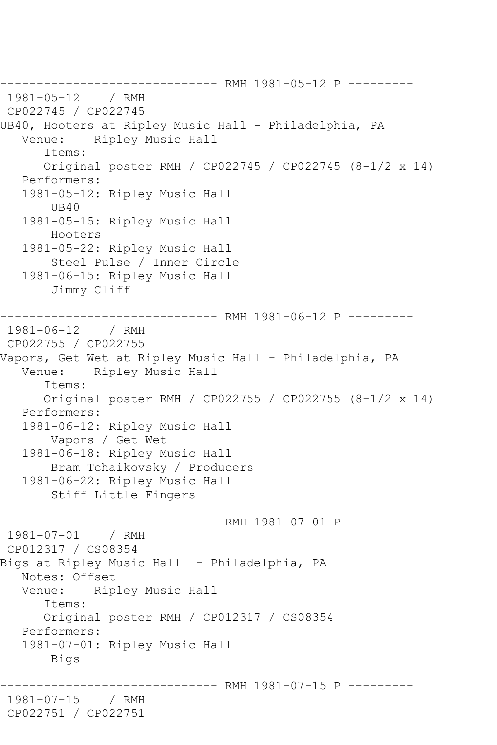------------------------------- RMH 1981-05-12 P ---------<br>1981-05-12 / RMH  $1981 - 05 - 12$ CP022745 / CP022745 UB40, Hooters at Ripley Music Hall - Philadelphia, PA<br>Venue: Ripley Music Hall Ripley Music Hall Items: Original poster RMH / CP022745 / CP022745 (8-1/2 x 14) Performers: 1981-05-12: Ripley Music Hall UB40 1981-05-15: Ripley Music Hall Hooters 1981-05-22: Ripley Music Hall Steel Pulse / Inner Circle 1981-06-15: Ripley Music Hall Jimmy Cliff ------------------------------ RMH 1981-06-12 P --------- 1981-06-12 / RMH CP022755 / CP022755 Vapors, Get Wet at Ripley Music Hall - Philadelphia, PA Venue: Ripley Music Hall Items: Original poster RMH / CP022755 / CP022755 (8-1/2 x 14) Performers: 1981-06-12: Ripley Music Hall Vapors / Get Wet 1981-06-18: Ripley Music Hall Bram Tchaikovsky / Producers 1981-06-22: Ripley Music Hall Stiff Little Fingers ----------------- RMH 1981-07-01 P ----------<br>/ RMH  $1981 - 07 - 01$ CP012317 / CS08354 Bigs at Ripley Music Hall - Philadelphia, PA Notes: Offset Venue: Ripley Music Hall Items: Original poster RMH / CP012317 / CS08354 Performers: 1981-07-01: Ripley Music Hall Bigs ------------------------------ RMH 1981-07-15 P --------- 1981-07-15 / RMH CP022751 / CP022751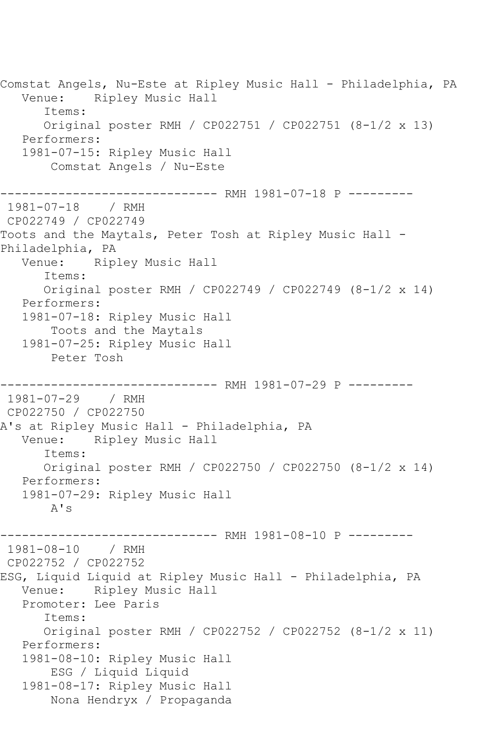Comstat Angels, Nu-Este at Ripley Music Hall - Philadelphia, PA<br>Venue: Ripley Music Hall Ripley Music Hall Items: Original poster RMH / CP022751 / CP022751 (8-1/2 x 13) Performers: 1981-07-15: Ripley Music Hall Comstat Angels / Nu-Este ---------------- RMH 1981-07-18 P ----------<br>/ RMH 1981-07-18 CP022749 / CP022749 Toots and the Maytals, Peter Tosh at Ripley Music Hall - Philadelphia, PA<br>Venue: Rip Ripley Music Hall Items: Original poster RMH / CP022749 / CP022749 (8-1/2 x 14) Performers: 1981-07-18: Ripley Music Hall Toots and the Maytals 1981-07-25: Ripley Music Hall Peter Tosh ------------------------------ RMH 1981-07-29 P --------- 1981-07-29 / RMH CP022750 / CP022750 A's at Ripley Music Hall - Philadelphia, PA<br>Venue: Ripley Music Hall Ripley Music Hall Items: Original poster RMH / CP022750 / CP022750 (8-1/2 x 14) Performers: 1981-07-29: Ripley Music Hall A's ------------------------------ RMH 1981-08-10 P --------- 1981-08-10 / RMH CP022752 / CP022752 ESG, Liquid Liquid at Ripley Music Hall - Philadelphia, PA Venue: Ripley Music Hall Promoter: Lee Paris Items: Original poster RMH / CP022752 / CP022752 (8-1/2 x 11) Performers: 1981-08-10: Ripley Music Hall ESG / Liquid Liquid 1981-08-17: Ripley Music Hall Nona Hendryx / Propaganda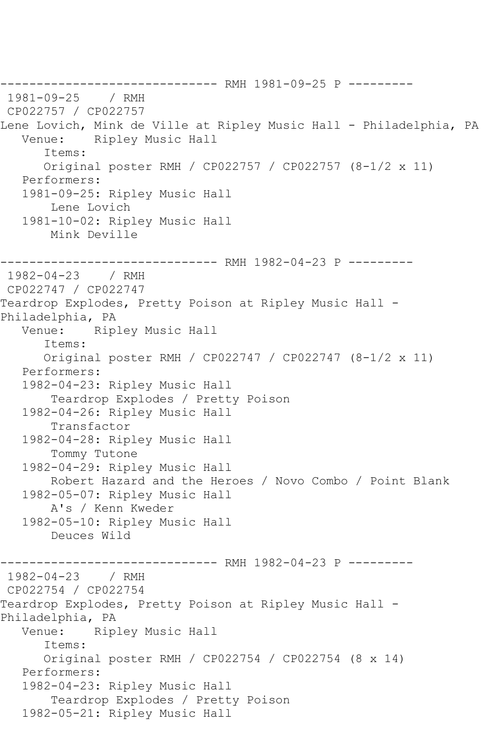------------------------------ RMH 1981-09-25 P --------- 1981-09-25 CP022757 / CP022757 Lene Lovich, Mink de Ville at Ripley Music Hall - Philadelphia, PA<br>Venue: Ripley Music Hall Ripley Music Hall Items: Original poster RMH / CP022757 / CP022757 (8-1/2 x 11) Performers: 1981-09-25: Ripley Music Hall Lene Lovich 1981-10-02: Ripley Music Hall Mink Deville ------------------------------ RMH 1982-04-23 P --------- 1982-04-23 / RMH CP022747 / CP022747 Teardrop Explodes, Pretty Poison at Ripley Music Hall - Philadelphia, PA<br>Venue: Rip Ripley Music Hall Items: Original poster RMH / CP022747 / CP022747 (8-1/2 x 11) Performers: 1982-04-23: Ripley Music Hall Teardrop Explodes / Pretty Poison 1982-04-26: Ripley Music Hall Transfactor 1982-04-28: Ripley Music Hall Tommy Tutone 1982-04-29: Ripley Music Hall Robert Hazard and the Heroes / Novo Combo / Point Blank 1982-05-07: Ripley Music Hall A's / Kenn Kweder 1982-05-10: Ripley Music Hall Deuces Wild ------------------------------ RMH 1982-04-23 P --------- 1982-04-23 / RMH CP022754 / CP022754 Teardrop Explodes, Pretty Poison at Ripley Music Hall - Philadelphia, PA<br>Venue: Rip Ripley Music Hall Items: Original poster RMH / CP022754 / CP022754 (8 x 14) Performers: 1982-04-23: Ripley Music Hall Teardrop Explodes / Pretty Poison 1982-05-21: Ripley Music Hall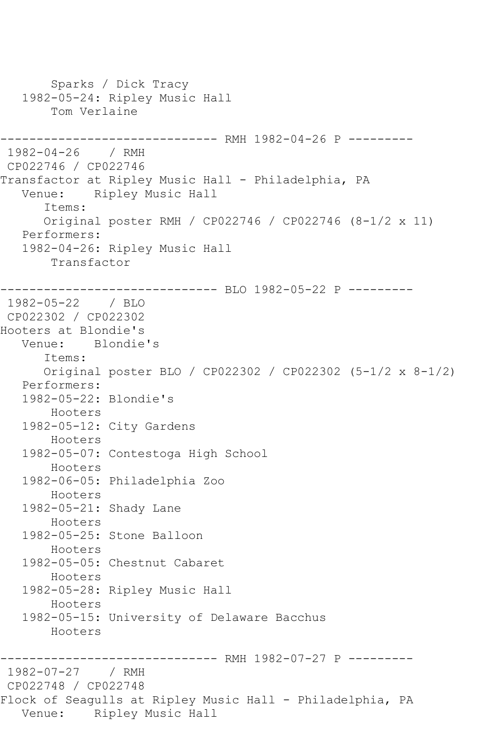Sparks / Dick Tracy 1982-05-24: Ripley Music Hall Tom Verlaine ------------------------------ RMH 1982-04-26 P --------- 1982-04-26 / RMH CP022746 / CP022746 Transfactor at Ripley Music Hall - Philadelphia, PA Venue: Ripley Music Hall Items: Original poster RMH / CP022746 / CP022746 (8-1/2 x 11) Performers: 1982-04-26: Ripley Music Hall Transfactor -------------- BLO 1982-05-22 P ---------1982-05-22 / BLO CP022302 / CP022302 Hooters at Blondie's Venue: Blondie's Items: Original poster BLO / CP022302 / CP022302 (5-1/2 x 8-1/2) Performers: 1982-05-22: Blondie's Hooters 1982-05-12: City Gardens Hooters 1982-05-07: Contestoga High School Hooters 1982-06-05: Philadelphia Zoo Hooters 1982-05-21: Shady Lane Hooters 1982-05-25: Stone Balloon Hooters 1982-05-05: Chestnut Cabaret Hooters 1982-05-28: Ripley Music Hall Hooters 1982-05-15: University of Delaware Bacchus Hooters ------------ RMH 1982-07-27 P ---------1982-07-27 / RMH CP022748 / CP022748 Flock of Seagulls at Ripley Music Hall - Philadelphia, PA Venue: Ripley Music Hall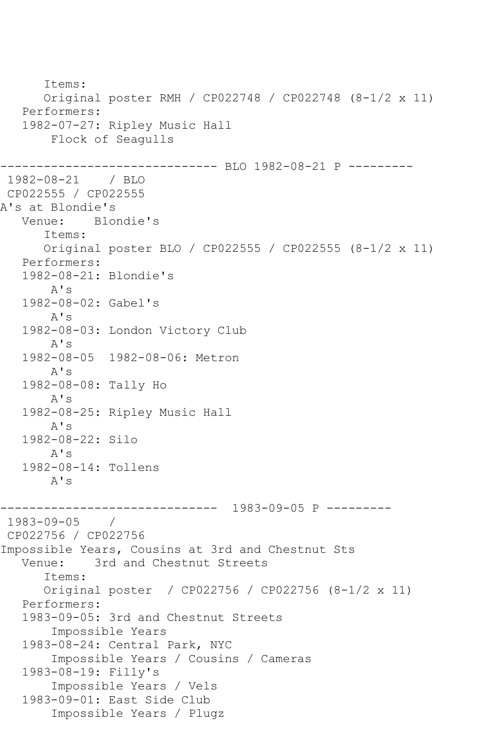Items: Original poster RMH / CP022748 / CP022748 (8-1/2 x 11) Performers: 1982-07-27: Ripley Music Hall Flock of Seagulls ------------------------------ BLO 1982-08-21 P --------- 1982-08-21 / BLO CP022555 / CP022555 A's at Blondie's<br>Venue: Blo Blondie's Items: Original poster BLO / CP022555 / CP022555 (8-1/2 x 11) Performers: 1982-08-21: Blondie's A's 1982-08-02: Gabel's A's 1982-08-03: London Victory Club A's 1982-08-05 1982-08-06: Metron A's 1982-08-08: Tally Ho A's 1982-08-25: Ripley Music Hall A's 1982-08-22: Silo A's 1982-08-14: Tollens A's ------------------------------ 1983-09-05 P --------- 1983-09-05 / CP022756 / CP022756 Impossible Years, Cousins at 3rd and Chestnut Sts Venue: 3rd and Chestnut Streets Items: Original poster / CP022756 / CP022756 (8-1/2 x 11) Performers: 1983-09-05: 3rd and Chestnut Streets Impossible Years 1983-08-24: Central Park, NYC Impossible Years / Cousins / Cameras 1983-08-19: Filly's Impossible Years / Vels 1983-09-01: East Side Club Impossible Years / Plugz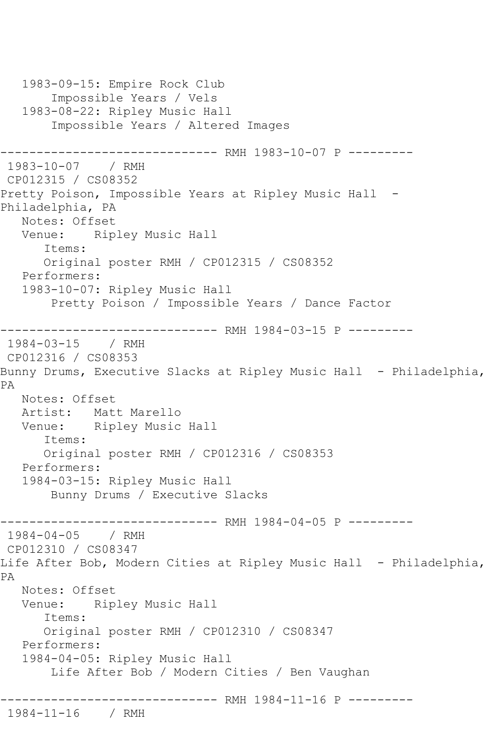```
 1983-09-15: Empire Rock Club
        Impossible Years / Vels
    1983-08-22: Ripley Music Hall
        Impossible Years / Altered Images
               ---------------- RMH 1983-10-07 P ----------<br>/ RMH
1983-10-07
CP012315 / CS08352
Pretty Poison, Impossible Years at Ripley Music Hall -
Philadelphia, PA
   Notes: Offset
   Venue: Ripley Music Hall
       Items:
       Original poster RMH / CP012315 / CS08352
   Performers:
    1983-10-07: Ripley Music Hall
        Pretty Poison / Impossible Years / Dance Factor
                   ------------ RMH 1984-03-15 P ---------
1984-03-15 / RMH 
CP012316 / CS08353
Bunny Drums, Executive Slacks at Ripley Music Hall - Philadelphia, 
PA
   Notes: Offset
  Artist: Matt Marello<br>Venue: Ripley Music
            Ripley Music Hall
       Items:
       Original poster RMH / CP012316 / CS08353
    Performers:
   1984-03-15: Ripley Music Hall
        Bunny Drums / Executive Slacks
------------------------------ RMH 1984-04-05 P ---------<br>1984-04-05   / RMH
1984 - 04 - 05CP012310 / CS08347
Life After Bob, Modern Cities at Ripley Music Hall - Philadelphia, 
PA
   Notes: Offset
   Venue: Ripley Music Hall
       Items:
       Original poster RMH / CP012310 / CS08347
    Performers:
    1984-04-05: Ripley Music Hall
        Life After Bob / Modern Cities / Ben Vaughan
------------------------------ RMH 1984-11-16 P ---------
1984-11-16 / RMH
```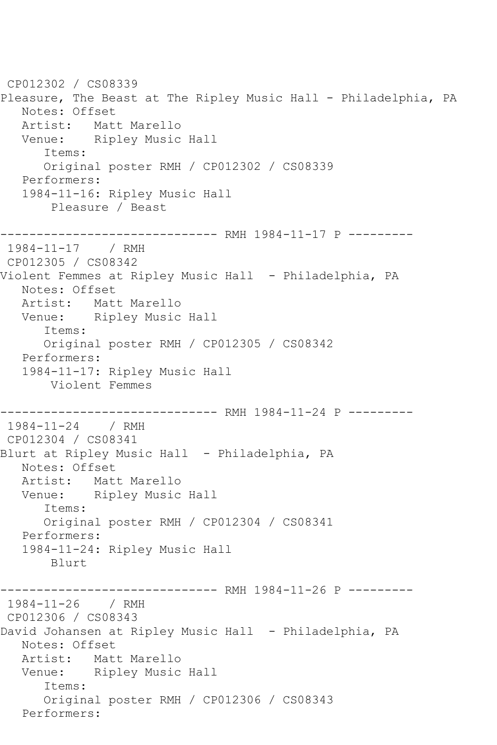CP012302 / CS08339 Pleasure, The Beast at The Ripley Music Hall - Philadelphia, PA Notes: Offset Artist: Matt Marello<br>Venue: Ripley Music Ripley Music Hall Items: Original poster RMH / CP012302 / CS08339 Performers: 1984-11-16: Ripley Music Hall Pleasure / Beast ------------------------------ RMH 1984-11-17 P --------- 1984-11-17 / RMH CP012305 / CS08342 Violent Femmes at Ripley Music Hall - Philadelphia, PA Notes: Offset Artist: Matt Marello Venue: Ripley Music Hall Items: Original poster RMH / CP012305 / CS08342 Performers: 1984-11-17: Ripley Music Hall Violent Femmes ------------------------------ RMH 1984-11-24 P --------- 1984-11-24 / RMH CP012304 / CS08341 Blurt at Ripley Music Hall - Philadelphia, PA Notes: Offset Artist: Matt Marello Venue: Ripley Music Hall Items: Original poster RMH / CP012304 / CS08341 Performers: 1984-11-24: Ripley Music Hall Blurt ----------- RMH 1984-11-26 P ---------1984-11-26 / RMH CP012306 / CS08343 David Johansen at Ripley Music Hall - Philadelphia, PA Notes: Offset Artist: Matt Marello<br>Venue: Ripley Music Ripley Music Hall Items: Original poster RMH / CP012306 / CS08343 Performers: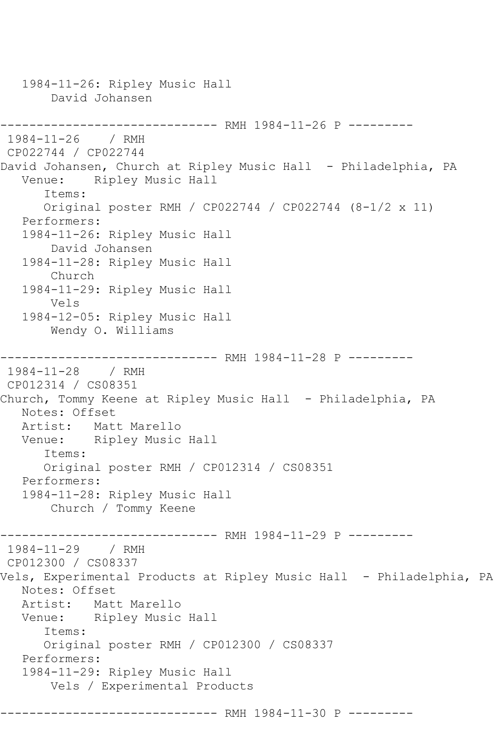1984-11-26: Ripley Music Hall David Johansen ------------------------------ RMH 1984-11-26 P --------- 1984-11-26 / RMH CP022744 / CP022744 David Johansen, Church at Ripley Music Hall - Philadelphia, PA Venue: Ripley Music Hall Items: Original poster RMH / CP022744 / CP022744 (8-1/2 x 11) Performers: 1984-11-26: Ripley Music Hall David Johansen 1984-11-28: Ripley Music Hall Church 1984-11-29: Ripley Music Hall Vels 1984-12-05: Ripley Music Hall Wendy O. Williams ------------------------------ RMH 1984-11-28 P --------- 1984-11-28 / RMH CP012314 / CS08351 Church, Tommy Keene at Ripley Music Hall - Philadelphia, PA Notes: Offset Artist: Matt Marello Venue: Ripley Music Hall Items: Original poster RMH / CP012314 / CS08351 Performers: 1984-11-28: Ripley Music Hall Church / Tommy Keene ------------------------------ RMH 1984-11-29 P --------- 1984-11-29 / RMH CP012300 / CS08337 Vels, Experimental Products at Ripley Music Hall - Philadelphia, PA Notes: Offset Artist: Matt Marello Venue: Ripley Music Hall Items: Original poster RMH / CP012300 / CS08337 Performers: 1984-11-29: Ripley Music Hall Vels / Experimental Products ------------------------------ RMH 1984-11-30 P ---------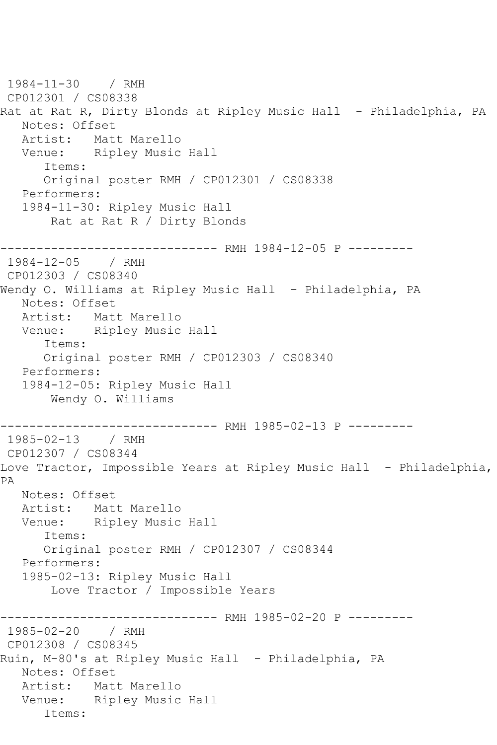```
1984-11-30 / RMH 
CP012301 / CS08338
Rat at Rat R, Dirty Blonds at Ripley Music Hall - Philadelphia, PA
   Notes: Offset
   Artist: Matt Marello
   Venue: Ripley Music Hall
      Items:
      Original poster RMH / CP012301 / CS08338
   Performers:
   1984-11-30: Ripley Music Hall
       Rat at Rat R / Dirty Blonds
------------------------------ RMH 1984-12-05 P ---------
1984-12-05 / RMH 
CP012303 / CS08340
Wendy O. Williams at Ripley Music Hall - Philadelphia, PA
   Notes: Offset
   Artist: Matt Marello
   Venue: Ripley Music Hall
      Items:
      Original poster RMH / CP012303 / CS08340
   Performers:
   1984-12-05: Ripley Music Hall
       Wendy O. Williams
------------------------------ RMH 1985-02-13 P ---------
1985-02-13 / RMH 
CP012307 / CS08344
Love Tractor, Impossible Years at Ripley Music Hall - Philadelphia, 
PA
   Notes: Offset
   Artist: Matt Marello
   Venue: Ripley Music Hall
      Items:
      Original poster RMH / CP012307 / CS08344
   Performers:
   1985-02-13: Ripley Music Hall
       Love Tractor / Impossible Years
------------------------------ RMH 1985-02-20 P ---------
1985-02-20 / RMH 
CP012308 / CS08345
Ruin, M-80's at Ripley Music Hall - Philadelphia, PA
   Notes: Offset
   Artist: Matt Marello
   Venue: Ripley Music Hall
      Items:
```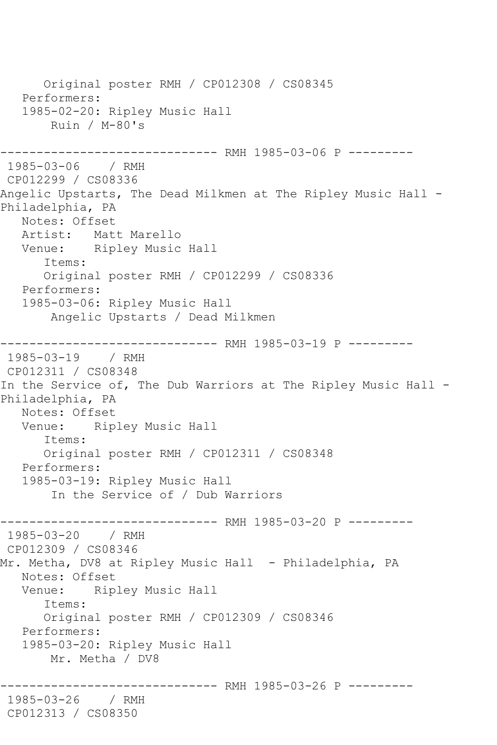Original poster RMH / CP012308 / CS08345 Performers: 1985-02-20: Ripley Music Hall Ruin / M-80's ------------------------------ RMH 1985-03-06 P --------- 1985-03-06 / RMH CP012299 / CS08336 Angelic Upstarts, The Dead Milkmen at The Ripley Music Hall - Philadelphia, PA Notes: Offset Artist: Matt Marello Venue: Ripley Music Hall Items: Original poster RMH / CP012299 / CS08336 Performers: 1985-03-06: Ripley Music Hall Angelic Upstarts / Dead Milkmen ------------------------------ RMH 1985-03-19 P --------- 1985-03-19 / RMH CP012311 / CS08348 In the Service of, The Dub Warriors at The Ripley Music Hall -Philadelphia, PA Notes: Offset Venue: Ripley Music Hall Items: Original poster RMH / CP012311 / CS08348 Performers: 1985-03-19: Ripley Music Hall In the Service of / Dub Warriors ------------------------------ RMH 1985-03-20 P --------- 1985-03-20 / RMH CP012309 / CS08346 Mr. Metha, DV8 at Ripley Music Hall - Philadelphia, PA Notes: Offset Venue: Ripley Music Hall Items: Original poster RMH / CP012309 / CS08346 Performers: 1985-03-20: Ripley Music Hall Mr. Metha / DV8 ------------------------------ RMH 1985-03-26 P --------- 1985-03-26 / RMH CP012313 / CS08350